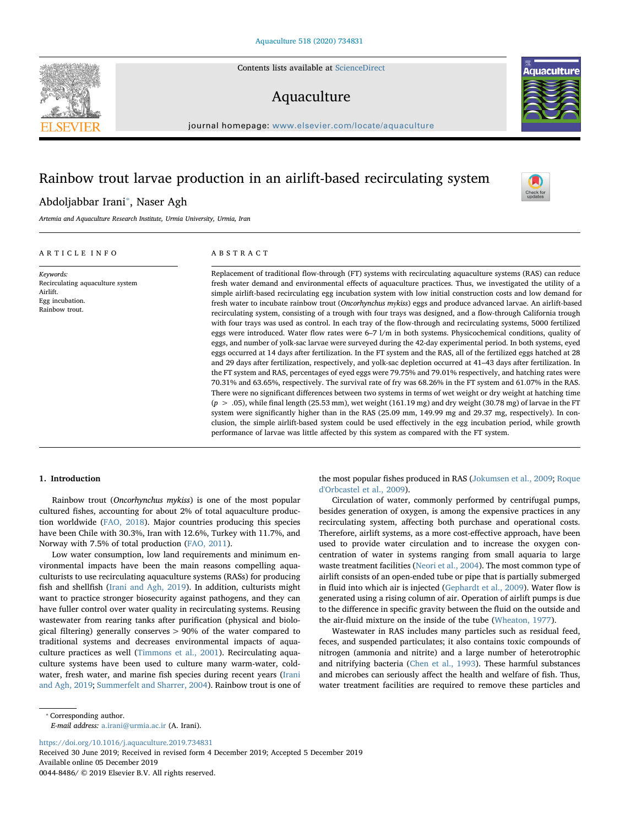Contents lists available at [ScienceDirect](http://www.sciencedirect.com/science/journal/00448486)

# Aquaculture

journal homepage: [www.elsevier.com/locate/aquaculture](https://www.elsevier.com/locate/aquaculture)

## Rainbow trout larvae production in an airlift-based recirculating system

## Abdoljabbar Irani<sup>\*</sup>, Naser Agh

Artemia and Aquaculture Research Institute, Urmia University, Urmia, Iran

### ARTICLE INFO

Keywords: Recirculating aquaculture system Airlift. Egg incubation. Rainbow trout.

## ABSTRACT

Replacement of traditional flow-through (FT) systems with recirculating aquaculture systems (RAS) can reduce fresh water demand and environmental effects of aquaculture practices. Thus, we investigated the utility of a simple airlift-based recirculating egg incubation system with low initial construction costs and low demand for fresh water to incubate rainbow trout (Oncorhynchus mykiss) eggs and produce advanced larvae. An airlift-based recirculating system, consisting of a trough with four trays was designed, and a flow-through California trough with four trays was used as control. In each tray of the flow-through and recirculating systems, 5000 fertilized eggs were introduced. Water flow rates were 6–7 l/m in both systems. Physicochemical conditions, quality of eggs, and number of yolk-sac larvae were surveyed during the 42-day experimental period. In both systems, eyed eggs occurred at 14 days after fertilization. In the FT system and the RAS, all of the fertilized eggs hatched at 28 and 29 days after fertilization, respectively, and yolk-sac depletion occurred at 41–43 days after fertilization. In the FT system and RAS, percentages of eyed eggs were 79.75% and 79.01% respectively, and hatching rates were 70.31% and 63.65%, respectively. The survival rate of fry was 68.26% in the FT system and 61.07% in the RAS. There were no significant differences between two systems in terms of wet weight or dry weight at hatching time  $(p > .05)$ , while final length (25.53 mm), wet weight (161.19 mg) and dry weight (30.78 mg) of larvae in the FT system were significantly higher than in the RAS (25.09 mm, 149.99 mg and 29.37 mg, respectively). In conclusion, the simple airlift-based system could be used effectively in the egg incubation period, while growth performance of larvae was little affected by this system as compared with the FT system.

## 1. Introduction

Rainbow trout (Oncorhynchus mykiss) is one of the most popular cultured fishes, accounting for about 2% of total aquaculture production worldwide [\(FAO, 2018\)](#page-5-0). Major countries producing this species have been Chile with 30.3%, Iran with 12.6%, Turkey with 11.7%, and Norway with 7.5% of total production ([FAO, 2011](#page-5-1)).

Low water consumption, low land requirements and minimum environmental impacts have been the main reasons compelling aquaculturists to use recirculating aquaculture systems (RASs) for producing fish and shellfish [\(Irani and Agh, 2019\)](#page-5-2). In addition, culturists might want to practice stronger biosecurity against pathogens, and they can have fuller control over water quality in recirculating systems. Reusing wastewater from rearing tanks after purification (physical and biological filtering) generally conserves > 90% of the water compared to traditional systems and decreases environmental impacts of aquaculture practices as well [\(Timmons et al., 2001](#page-5-3)). Recirculating aquaculture systems have been used to culture many warm-water, coldwater, fresh water, and marine fish species during recent years ([Irani](#page-5-2) [and Agh, 2019](#page-5-2); [Summerfelt and Sharrer, 2004\)](#page-5-4). Rainbow trout is one of

the most popular fishes produced in RAS [\(Jokumsen et al., 2009](#page-5-5); [Roque](#page-5-6) [d'Orbcastel et al., 2009](#page-5-6)).

Circulation of water, commonly performed by centrifugal pumps, besides generation of oxygen, is among the expensive practices in any recirculating system, affecting both purchase and operational costs. Therefore, airlift systems, as a more cost-effective approach, have been used to provide water circulation and to increase the oxygen concentration of water in systems ranging from small aquaria to large waste treatment facilities ([Neori et al., 2004](#page-5-7)). The most common type of airlift consists of an open-ended tube or pipe that is partially submerged in fluid into which air is injected ([Gephardt et al., 2009](#page-5-8)). Water flow is generated using a rising column of air. Operation of airlift pumps is due to the difference in specific gravity between the fluid on the outside and the air-fluid mixture on the inside of the tube [\(Wheaton, 1977\)](#page-5-9).

Wastewater in RAS includes many particles such as residual feed, feces, and suspended particulates; it also contains toxic compounds of nitrogen (ammonia and nitrite) and a large number of heterotrophic and nitrifying bacteria ([Chen et al., 1993](#page-5-10)). These harmful substances and microbes can seriously affect the health and welfare of fish. Thus, water treatment facilities are required to remove these particles and

<span id="page-0-0"></span>⁎ Corresponding author.

E-mail address: [a.irani@urmia.ac.ir](mailto:a.irani@urmia.ac.ir) (A. Irani).

<https://doi.org/10.1016/j.aquaculture.2019.734831>

Received 30 June 2019; Received in revised form 4 December 2019; Accepted 5 December 2019 Available online 05 December 2019

0044-8486/ © 2019 Elsevier B.V. All rights reserved.





 $\frac{N}{2}$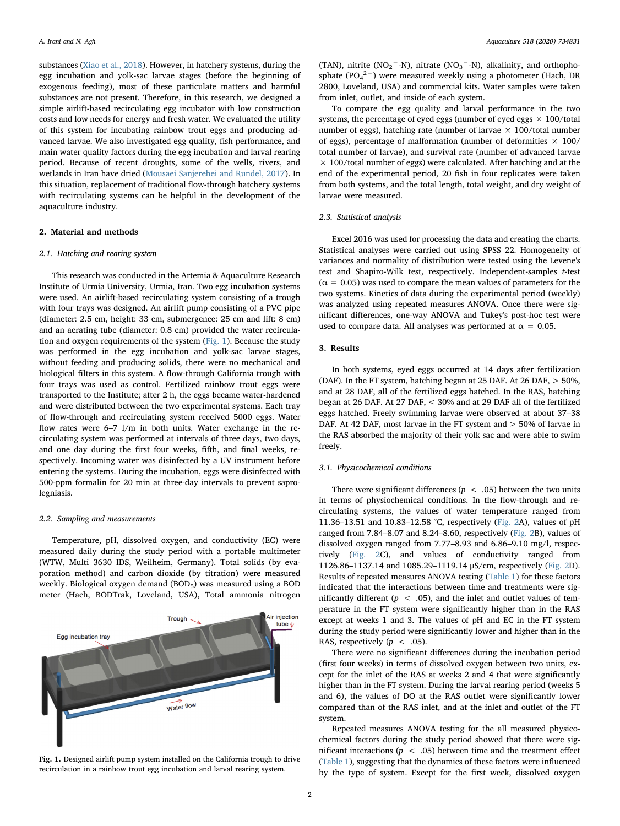substances ([Xiao et al., 2018\)](#page-5-11). However, in hatchery systems, during the egg incubation and yolk-sac larvae stages (before the beginning of exogenous feeding), most of these particulate matters and harmful substances are not present. Therefore, in this research, we designed a simple airlift-based recirculating egg incubator with low construction costs and low needs for energy and fresh water. We evaluated the utility of this system for incubating rainbow trout eggs and producing advanced larvae. We also investigated egg quality, fish performance, and main water quality factors during the egg incubation and larval rearing period. Because of recent droughts, some of the wells, rivers, and wetlands in Iran have dried [\(Mousaei Sanjerehei and Rundel, 2017\)](#page-5-12). In this situation, replacement of traditional flow-through hatchery systems with recirculating systems can be helpful in the development of the aquaculture industry.

### 2. Material and methods

### 2.1. Hatching and rearing system

This research was conducted in the Artemia & Aquaculture Research Institute of Urmia University, Urmia, Iran. Two egg incubation systems were used. An airlift-based recirculating system consisting of a trough with four trays was designed. An airlift pump consisting of a PVC pipe (diameter: 2.5 cm, height: 33 cm, submergence: 25 cm and lift: 8 cm) and an aerating tube (diameter: 0.8 cm) provided the water recirculation and oxygen requirements of the system ([Fig. 1\)](#page-1-0). Because the study was performed in the egg incubation and yolk-sac larvae stages, without feeding and producing solids, there were no mechanical and biological filters in this system. A flow-through California trough with four trays was used as control. Fertilized rainbow trout eggs were transported to the Institute; after 2 h, the eggs became water-hardened and were distributed between the two experimental systems. Each tray of flow-through and recirculating system received 5000 eggs. Water flow rates were 6–7 l/m in both units. Water exchange in the recirculating system was performed at intervals of three days, two days, and one day during the first four weeks, fifth, and final weeks, respectively. Incoming water was disinfected by a UV instrument before entering the systems. During the incubation, eggs were disinfected with 500-ppm formalin for 20 min at three-day intervals to prevent saprolegniasis.

#### 2.2. Sampling and measurements

Temperature, pH, dissolved oxygen, and conductivity (EC) were measured daily during the study period with a portable multimeter (WTW, Multi 3630 IDS, Weilheim, Germany). Total solids (by evaporation method) and carbon dioxide (by titration) were measured weekly. Biological oxygen demand (BOD<sub>5</sub>) was measured using a BOD meter (Hach, BODTrak, Loveland, USA), Total ammonia nitrogen

<span id="page-1-0"></span>

Fig. 1. Designed airlift pump system installed on the California trough to drive recirculation in a rainbow trout egg incubation and larval rearing system.

(TAN), nitrite (NO<sub>2</sub><sup>-</sup>-N), nitrate (NO<sub>3</sub><sup>-</sup>-N), alkalinity, and orthophosphate ( $PO_4^2$ <sup>-</sup>) were measured weekly using a photometer (Hach, DR 2800, Loveland, USA) and commercial kits. Water samples were taken from inlet, outlet, and inside of each system.

To compare the egg quality and larval performance in the two systems, the percentage of eyed eggs (number of eyed eggs  $\times$  100/total number of eggs), hatching rate (number of larvae  $\times$  100/total number of eggs), percentage of malformation (number of deformities  $\times$  100/ total number of larvae), and survival rate (number of advanced larvae  $\times$  100/total number of eggs) were calculated. After hatching and at the end of the experimental period, 20 fish in four replicates were taken from both systems, and the total length, total weight, and dry weight of larvae were measured.

### 2.3. Statistical analysis

Excel 2016 was used for processing the data and creating the charts. Statistical analyses were carried out using SPSS 22. Homogeneity of variances and normality of distribution were tested using the Levene's test and Shapiro-Wilk test, respectively. Independent-samples t-test  $(\alpha = 0.05)$  was used to compare the mean values of parameters for the two systems. Kinetics of data during the experimental period (weekly) was analyzed using repeated measures ANOVA. Once there were significant differences, one-way ANOVA and Tukey's post-hoc test were used to compare data. All analyses was performed at  $\alpha = 0.05$ .

## 3. Results

In both systems, eyed eggs occurred at 14 days after fertilization (DAF). In the FT system, hatching began at 25 DAF. At 26 DAF, > 50%, and at 28 DAF, all of the fertilized eggs hatched. In the RAS, hatching began at 26 DAF. At 27 DAF, < 30% and at 29 DAF all of the fertilized eggs hatched. Freely swimming larvae were observed at about 37–38 DAF. At 42 DAF, most larvae in the FT system and > 50% of larvae in the RAS absorbed the majority of their yolk sac and were able to swim freely.

## 3.1. Physicochemical conditions

There were significant differences ( $p < .05$ ) between the two units in terms of physiochemical conditions. In the flow-through and recirculating systems, the values of water temperature ranged from 11.36–13.51 and 10.83–12.58 °C, respectively [\(Fig. 2A](#page-2-0)), values of pH ranged from 7.84–8.07 and 8.24–8.60, respectively [\(Fig. 2B](#page-2-0)), values of dissolved oxygen ranged from 7.77–8.93 and 6.86–9.10 mg/l, respectively ([Fig. 2](#page-2-0)C), and values of conductivity ranged from 1126.86–1137.14 and 1085.29–1119.14 μS/cm, respectively ([Fig. 2D](#page-2-0)). Results of repeated measures ANOVA testing ([Table 1\)](#page-3-0) for these factors indicated that the interactions between time and treatments were significantly different ( $p < .05$ ), and the inlet and outlet values of temperature in the FT system were significantly higher than in the RAS except at weeks 1 and 3. The values of pH and EC in the FT system during the study period were significantly lower and higher than in the RAS, respectively ( $p < .05$ ).

There were no significant differences during the incubation period (first four weeks) in terms of dissolved oxygen between two units, except for the inlet of the RAS at weeks 2 and 4 that were significantly higher than in the FT system. During the larval rearing period (weeks 5 and 6), the values of DO at the RAS outlet were significantly lower compared than of the RAS inlet, and at the inlet and outlet of the FT system.

Repeated measures ANOVA testing for the all measured physicochemical factors during the study period showed that there were significant interactions ( $p < .05$ ) between time and the treatment effect ([Table 1\)](#page-3-0), suggesting that the dynamics of these factors were influenced by the type of system. Except for the first week, dissolved oxygen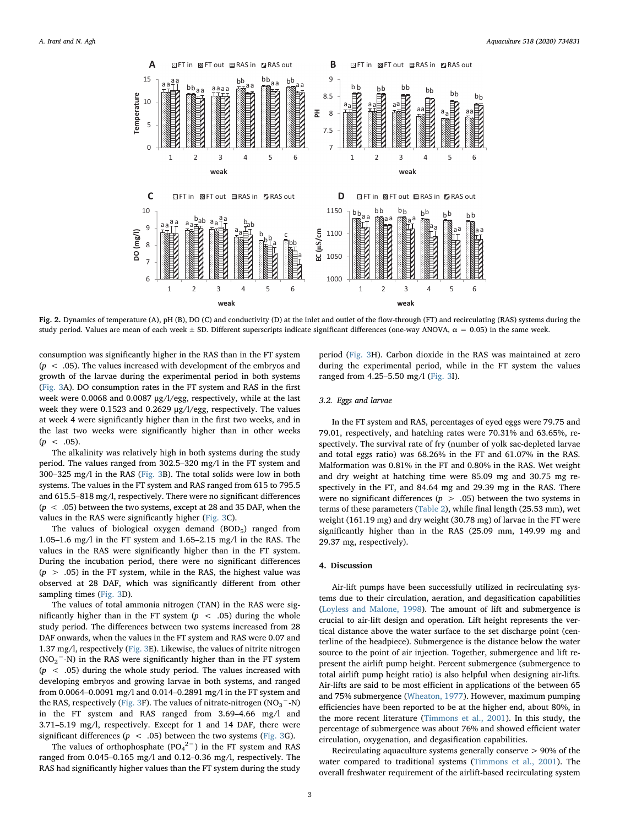<span id="page-2-0"></span>

Fig. 2. Dynamics of temperature (A), pH (B), DO (C) and conductivity (D) at the inlet and outlet of the flow-through (FT) and recirculating (RAS) systems during the study period. Values are mean of each week  $\pm$  SD. Different superscripts indicate significant differences (one-way ANOVA,  $\alpha$  = 0.05) in the same week.

consumption was significantly higher in the RAS than in the FT system  $(p < .05)$ . The values increased with development of the embryos and growth of the larvae during the experimental period in both systems ([Fig. 3A](#page-4-0)). DO consumption rates in the FT system and RAS in the first week were 0.0068 and 0.0087 μg/l/egg, respectively, while at the last week they were 0.1523 and 0.2629 μg/l/egg, respectively. The values at week 4 were significantly higher than in the first two weeks, and in the last two weeks were significantly higher than in other weeks  $(p < .05)$ .

The alkalinity was relatively high in both systems during the study period. The values ranged from 302.5–320 mg/l in the FT system and 300–325 mg/l in the RAS ([Fig. 3](#page-4-0)B). The total solids were low in both systems. The values in the FT system and RAS ranged from 615 to 795.5 and 615.5–818 mg/l, respectively. There were no significant differences  $(p < .05)$  between the two systems, except at 28 and 35 DAF, when the values in the RAS were significantly higher ([Fig. 3C](#page-4-0)).

The values of biological oxygen demand (BOD<sub>5</sub>) ranged from 1.05–1.6 mg/l in the FT system and 1.65–2.15 mg/l in the RAS. The values in the RAS were significantly higher than in the FT system. During the incubation period, there were no significant differences  $(p > .05)$  in the FT system, while in the RAS, the highest value was observed at 28 DAF, which was significantly different from other sampling times ([Fig. 3](#page-4-0)D).

The values of total ammonia nitrogen (TAN) in the RAS were significantly higher than in the FT system  $(p < .05)$  during the whole study period. The differences between two systems increased from 28 DAF onwards, when the values in the FT system and RAS were 0.07 and 1.37 mg/l, respectively [\(Fig. 3E](#page-4-0)). Likewise, the values of nitrite nitrogen  $(NO<sub>2</sub><sup>-</sup>-N)$  in the RAS were significantly higher than in the FT system  $(p < .05)$  during the whole study period. The values increased with developing embryos and growing larvae in both systems, and ranged from 0.0064–0.0091 mg/l and 0.014–0.2891 mg/l in the FT system and the RAS, respectively ([Fig. 3](#page-4-0)F). The values of nitrate-nitrogen (NO<sub>3</sub><sup>-</sup>-N) in the FT system and RAS ranged from 3.69–4.66 mg/l and 3.71–5.19 mg/l, respectively. Except for 1 and 14 DAF, there were significant differences ( $p < .05$ ) between the two systems [\(Fig. 3](#page-4-0)G).

The values of orthophosphate  $(PO_4^2^-)$  in the FT system and RAS ranged from 0.045–0.165 mg/l and 0.12–0.36 mg/l, respectively. The RAS had significantly higher values than the FT system during the study

period ([Fig. 3H](#page-4-0)). Carbon dioxide in the RAS was maintained at zero during the experimental period, while in the FT system the values ranged from 4.25–5.50 mg/l ([Fig. 3](#page-4-0)I).

#### 3.2. Eggs and larvae

In the FT system and RAS, percentages of eyed eggs were 79.75 and 79.01, respectively, and hatching rates were 70.31% and 63.65%, respectively. The survival rate of fry (number of yolk sac-depleted larvae and total eggs ratio) was 68.26% in the FT and 61.07% in the RAS. Malformation was 0.81% in the FT and 0.80% in the RAS. Wet weight and dry weight at hatching time were 85.09 mg and 30.75 mg respectively in the FT, and 84.64 mg and 29.39 mg in the RAS. There were no significant differences ( $p > .05$ ) between the two systems in terms of these parameters ([Table 2\)](#page-5-13), while final length (25.53 mm), wet weight (161.19 mg) and dry weight (30.78 mg) of larvae in the FT were significantly higher than in the RAS (25.09 mm, 149.99 mg and 29.37 mg, respectively).

#### 4. Discussion

Air-lift pumps have been successfully utilized in recirculating systems due to their circulation, aeration, and degasification capabilities ([Loyless and Malone, 1998](#page-5-14)). The amount of lift and submergence is crucial to air-lift design and operation. Lift height represents the vertical distance above the water surface to the set discharge point (centerline of the headpiece). Submergence is the distance below the water source to the point of air injection. Together, submergence and lift represent the airlift pump height. Percent submergence (submergence to total airlift pump height ratio) is also helpful when designing air-lifts. Air-lifts are said to be most efficient in applications of the between 65 and 75% submergence [\(Wheaton, 1977](#page-5-9)). However, maximum pumping efficiencies have been reported to be at the higher end, about 80%, in the more recent literature [\(Timmons et al., 2001](#page-5-3)). In this study, the percentage of submergence was about 76% and showed efficient water circulation, oxygenation, and degasification capabilities.

Recirculating aquaculture systems generally conserve > 90% of the water compared to traditional systems [\(Timmons et al., 2001](#page-5-3)). The overall freshwater requirement of the airlift-based recirculating system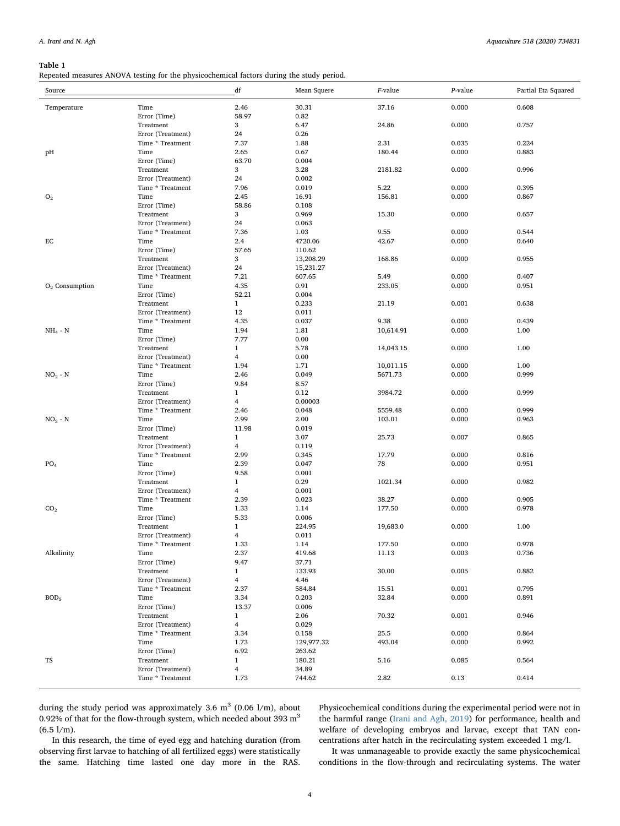#### <span id="page-3-0"></span>Table 1

Repeated measures ANOVA testing for the physicochemical factors during the study period.

| Source           |                                       | df             | Mean Squere    | F-value   | P-value | Partial Eta Squared |
|------------------|---------------------------------------|----------------|----------------|-----------|---------|---------------------|
| Temperature      | Time                                  | 2.46           | 30.31          | 37.16     | 0.000   | 0.608               |
|                  | Error (Time)                          | 58.97          | 0.82           |           |         |                     |
|                  | Treatment                             | 3              | 6.47           | 24.86     | 0.000   | 0.757               |
|                  | Error (Treatment)                     | 24             | 0.26           |           |         |                     |
|                  | Time * Treatment                      | 7.37           | 1.88           | 2.31      | 0.035   | 0.224               |
| pH               | Time                                  | 2.65           | 0.67           | 180.44    | 0.000   | 0.883               |
|                  | Error (Time)                          | 63.70          | 0.004          |           |         |                     |
|                  | Treatment                             | 3              | 3.28           | 2181.82   | 0.000   | 0.996               |
|                  | Error (Treatment)<br>Time * Treatment | 24<br>7.96     | 0.002<br>0.019 | 5.22      | 0.000   | 0.395               |
| ${\rm O}_2$      | Time                                  | 2.45           | 16.91          | 156.81    | 0.000   | 0.867               |
|                  | Error (Time)                          | 58.86          | 0.108          |           |         |                     |
|                  | Treatment                             | 3              | 0.969          | 15.30     | 0.000   | 0.657               |
|                  | Error (Treatment)                     | 24             | 0.063          |           |         |                     |
|                  | Time * Treatment                      | 7.36           | 1.03           | 9.55      | 0.000   | 0.544               |
| EC               | Time                                  | 2.4            | 4720.06        | 42.67     | 0.000   | 0.640               |
|                  | Error (Time)                          | 57.65          | 110.62         |           |         |                     |
|                  | Treatment                             | 3              | 13,208.29      | 168.86    | 0.000   | 0.955               |
|                  | Error (Treatment)                     | 24             | 15,231.27      |           |         |                     |
|                  | Time * Treatment                      | 7.21           | 607.65         | 5.49      | 0.000   | 0.407               |
| $O2$ Consumption | Time                                  | 4.35           | 0.91           | 233.05    | 0.000   | 0.951               |
|                  | Error (Time)                          | 52.21          | 0.004          |           |         |                     |
|                  | Treatment                             | $\mathbf{1}$   | 0.233          | 21.19     | 0.001   | 0.638               |
|                  | Error (Treatment)                     | 12             | 0.011          |           |         |                     |
|                  | Time * Treatment                      | 4.35           | 0.037          | 9.38      | 0.000   | 0.439               |
| $NH_4$ - $N$     | Time<br>Error (Time)                  | 1.94<br>7.77   | 1.81<br>0.00   | 10,614.91 | 0.000   | 1.00                |
|                  | Treatment                             | $\mathbf{1}$   | 5.78           | 14,043.15 | 0.000   | 1.00                |
|                  | Error (Treatment)                     | 4              | 0.00           |           |         |                     |
|                  | Time * Treatment                      | 1.94           | 1.71           | 10,011.15 | 0.000   | 1.00                |
| $NO2 - N$        | Time                                  | 2.46           | 0.049          | 5671.73   | 0.000   | 0.999               |
|                  | Error (Time)                          | 9.84           | 8.57           |           |         |                     |
|                  | Treatment                             | $\mathbf{1}$   | 0.12           | 3984.72   | 0.000   | 0.999               |
|                  | Error (Treatment)                     | 4              | 0.00003        |           |         |                     |
|                  | Time * Treatment                      | 2.46           | 0.048          | 5559.48   | 0.000   | 0.999               |
| $NO3 - N$        | Time                                  | 2.99           | 2.00           | 103.01    | 0.000   | 0.963               |
|                  | Error (Time)                          | 11.98          | 0.019          |           |         |                     |
|                  | Treatment                             | $\mathbf{1}$   | 3.07           | 25.73     | 0.007   | 0.865               |
|                  | Error (Treatment)                     | 4              | 0.119          |           |         |                     |
|                  | Time * Treatment                      | 2.99           | 0.345          | 17.79     | 0.000   | 0.816               |
| PO <sub>4</sub>  | Time<br>Error (Time)                  | 2.39<br>9.58   | 0.047<br>0.001 | 78        | 0.000   | 0.951               |
|                  | Treatment                             | $\mathbf{1}$   | 0.29           | 1021.34   | 0.000   | 0.982               |
|                  | Error (Treatment)                     | 4              | 0.001          |           |         |                     |
|                  | Time * Treatment                      | 2.39           | 0.023          | 38.27     | 0.000   | 0.905               |
| CO <sub>2</sub>  | Time                                  | 1.33           | 1.14           | 177.50    | 0.000   | 0.978               |
|                  | Error (Time)                          | 5.33           | 0.006          |           |         |                     |
|                  | Treatment                             | $\mathbf{1}$   | 224.95         | 19,683.0  | 0.000   | 1.00                |
|                  | Error (Treatment)                     | 4              | 0.011          |           |         |                     |
|                  | Time * Treatment                      | 1.33           | 1.14           | 177.50    | 0.000   | 0.978               |
| Alkalinity       | Time                                  | 2.37           | 419.68         | 11.13     | 0.003   | 0.736               |
|                  | Error (Time)                          | 9.47           | 37.71          |           |         |                     |
|                  | Treatment                             | $\mathbf{1}$   | 133.93         | 30.00     | 0.005   | 0.882               |
|                  | Error (Treatment)                     | $\overline{4}$ | 4.46           |           |         |                     |
|                  | Time * Treatment                      | 2.37           | 584.84         | 15.51     | 0.001   | 0.795               |
| BOD <sub>5</sub> | Time                                  | 3.34           | 0.203          | 32.84     | 0.000   | 0.891               |
|                  | Error (Time)                          | 13.37          | 0.006          |           |         |                     |
|                  | Treatment                             | $\mathbf{1}$   | 2.06           | 70.32     | 0.001   | 0.946               |
|                  | Error (Treatment)<br>Time * Treatment | 4<br>3.34      | 0.029<br>0.158 | 25.5      | 0.000   | 0.864               |
|                  | Time                                  | 1.73           | 129,977.32     | 493.04    | 0.000   | 0.992               |
|                  | Error (Time)                          | 6.92           | 263.62         |           |         |                     |
| TS               | Treatment                             | $\mathbf{1}$   | 180.21         | 5.16      | 0.085   | 0.564               |
|                  | Error (Treatment)                     | 4              | 34.89          |           |         |                     |
|                  | Time * Treatment                      | 1.73           | 744.62         | 2.82      | 0.13    | 0.414               |
|                  |                                       |                |                |           |         |                     |

during the study period was approximately 3.6  $m<sup>3</sup>$  (0.06 l/m), about 0.92% of that for the flow-through system, which needed about 393  $m<sup>3</sup>$  $(6.5 \frac{\text{1}}{\text{m}})$ .

In this research, the time of eyed egg and hatching duration (from observing first larvae to hatching of all fertilized eggs) were statistically the same. Hatching time lasted one day more in the RAS. Physicochemical conditions during the experimental period were not in the harmful range ([Irani and Agh, 2019\)](#page-5-2) for performance, health and welfare of developing embryos and larvae, except that TAN concentrations after hatch in the recirculating system exceeded 1 mg/l.

It was unmanageable to provide exactly the same physicochemical conditions in the flow-through and recirculating systems. The water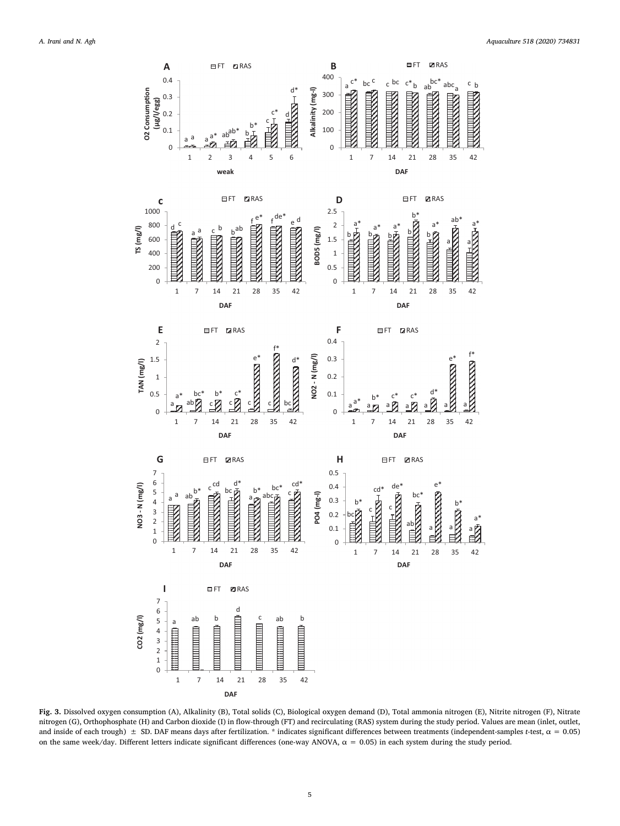<span id="page-4-0"></span>

Fig. 3. Dissolved oxygen consumption (A), Alkalinity (B), Total solids (C), Biological oxygen demand (D), Total ammonia nitrogen (E), Nitrite nitrogen (F), Nitrate nitrogen (G), Orthophosphate (H) and Carbon dioxide (I) in flow-through (FT) and recirculating (RAS) system during the study period. Values are mean (inlet, outlet, and inside of each trough)  $\pm$  SD. DAF means days after fertilization. \* indicates significant differences between treatments (independent-samples t-test,  $\alpha$  = 0.05) on the same week/day. Different letters indicate significant differences (one-way ANOVA,  $α = 0.05$ ) in each system during the study period.